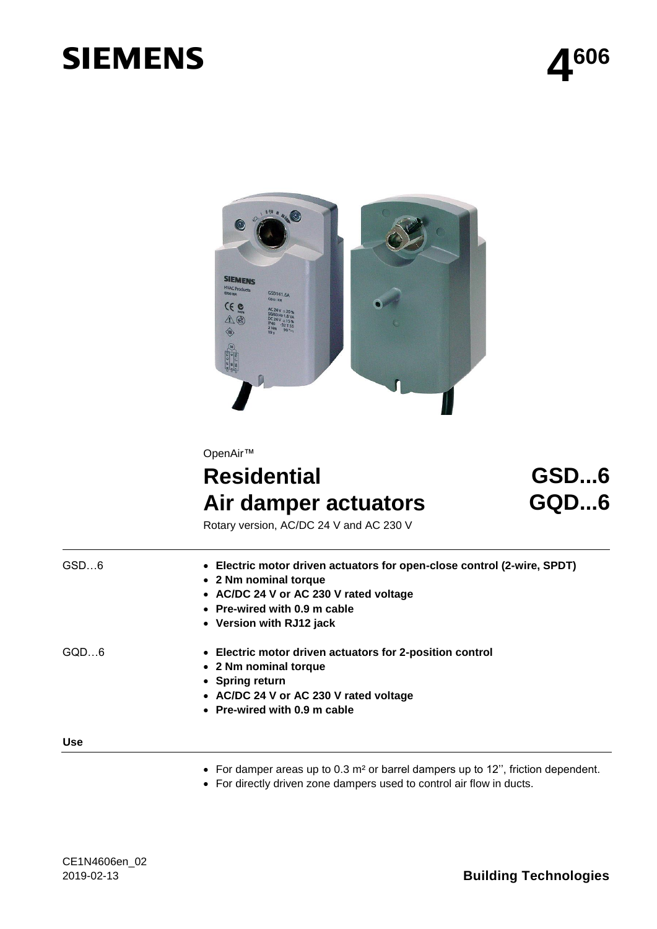# **SIEMENS**





OpenAir™

# **Residential Air damper actuators**

# **GSD...6 GQD...6**

Rotary version, AC/DC 24 V and AC 230 V

| GSD6       | • Electric motor driven actuators for open-close control (2-wire, SPDT)<br>• 2 Nm nominal torque<br>• AC/DC 24 V or AC 230 V rated voltage<br>• Pre-wired with 0.9 m cable<br>• Version with RJ12 jack |
|------------|--------------------------------------------------------------------------------------------------------------------------------------------------------------------------------------------------------|
| GOD6       | • Electric motor driven actuators for 2-position control<br>• 2 Nm nominal torque<br>• Spring return<br>• AC/DC 24 V or AC 230 V rated voltage<br>• Pre-wired with 0.9 m cable                         |
| <b>Use</b> |                                                                                                                                                                                                        |

#### **Use**

- For damper areas up to 0.3 m² or barrel dampers up to 12'', friction dependent.
- For directly driven zone dampers used to control air flow in ducts.

## 2019-02-13 **Building Technologies**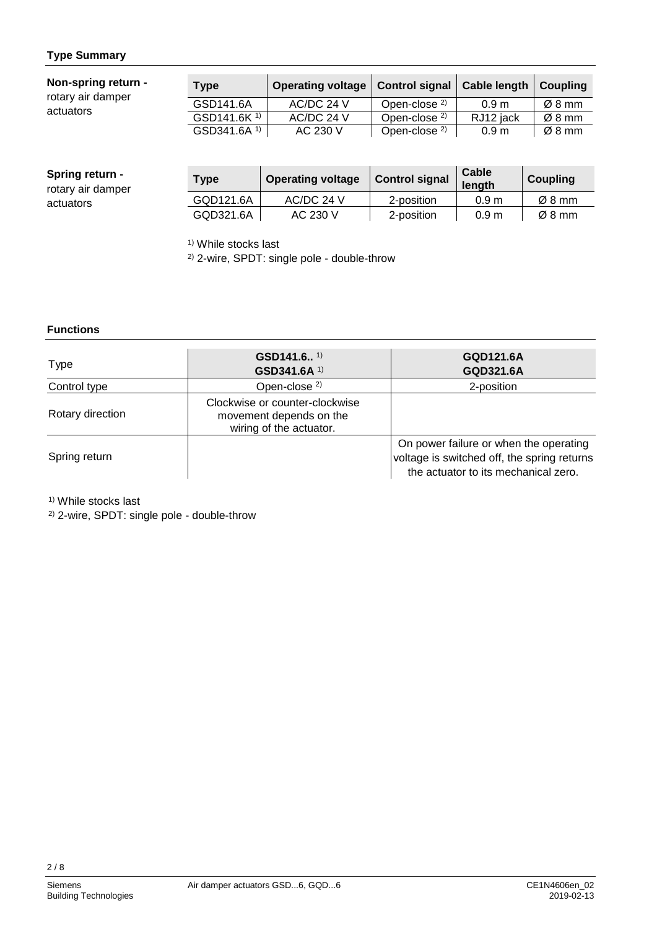### **Type Summary**

| Non-spring return -<br>rotary air damper | <b>Type</b>             | <b>Operating voltage</b> | <b>Control signal</b>    | <b>Cable length</b> | Coupling |
|------------------------------------------|-------------------------|--------------------------|--------------------------|---------------------|----------|
|                                          | GSD141.6A               | $AC/DC$ 24 V             | Open-close <sup>2)</sup> | 0.9 <sub>m</sub>    | Ø8 mm    |
| actuators                                | GSD141.6K <sup>1)</sup> | AC/DC 24 V               | Open-close <sup>2)</sup> | RJ12 jack           | Ø8 mm    |
|                                          | GSD341.6A <sup>1)</sup> | AC 230 V                 | Open-close <sup>2)</sup> | 0.9 <sub>m</sub>    | Ø8 mm    |

| <b>Spring return -</b><br>rotary air damper | <b>Type</b> | <b>Operating voltage</b> | <b>Control signal</b> | Cable<br>lenath  | Coupling           |
|---------------------------------------------|-------------|--------------------------|-----------------------|------------------|--------------------|
| actuators                                   | GQD121.6A   | AC/DC 24 V               | 2-position            | 0.9 <sub>m</sub> | $\varnothing$ 8 mm |
|                                             | GQD321.6A   | AC 230 V                 | 2-position            | 0.9 <sub>m</sub> | $\varnothing$ 8 mm |

<sup>1)</sup> While stocks last

2) 2-wire, SPDT: single pole - double-throw

#### **Functions**

| Type             | GSD141.6 $1)$<br>GSD341.6A <sup>1)</sup>                                             | GQD121.6A<br>GQD321.6A                                                                                                        |
|------------------|--------------------------------------------------------------------------------------|-------------------------------------------------------------------------------------------------------------------------------|
| Control type     | Open-close <sup>2)</sup>                                                             | 2-position                                                                                                                    |
| Rotary direction | Clockwise or counter-clockwise<br>movement depends on the<br>wiring of the actuator. |                                                                                                                               |
| Spring return    |                                                                                      | On power failure or when the operating<br>voltage is switched off, the spring returns<br>the actuator to its mechanical zero. |

<sup>1)</sup> While stocks last

2) 2-wire, SPDT: single pole - double-throw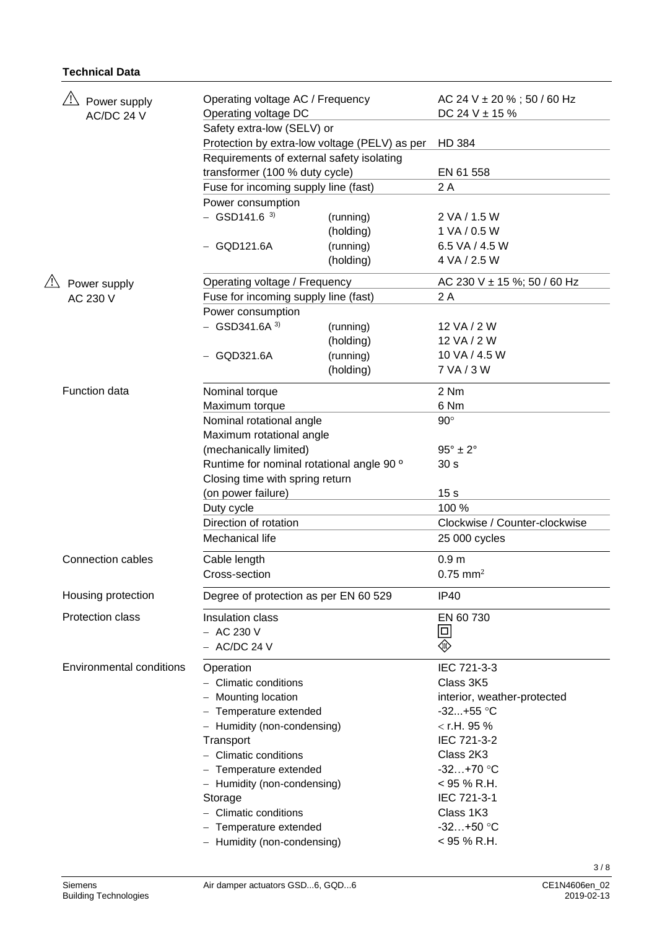#### **Technical Data**

| Power supply<br>AC/DC 24 V |                                 | Operating voltage AC / Frequency<br>Operating voltage DC |                                               | AC 24 V $\pm$ 20 % ; 50 / 60 Hz<br>DC 24 V $\pm$ 15 % |
|----------------------------|---------------------------------|----------------------------------------------------------|-----------------------------------------------|-------------------------------------------------------|
|                            |                                 | Safety extra-low (SELV) or                               |                                               |                                                       |
|                            |                                 |                                                          | Protection by extra-low voltage (PELV) as per | <b>HD 384</b>                                         |
|                            |                                 | Requirements of external safety isolating                |                                               |                                                       |
|                            |                                 | transformer (100 % duty cycle)                           |                                               | EN 61 558                                             |
|                            |                                 | Fuse for incoming supply line (fast)                     |                                               | 2 A                                                   |
|                            |                                 | Power consumption                                        |                                               |                                                       |
|                            |                                 | $-$ GSD141.6 $^{3)}$                                     | (running)                                     | 2 VA / 1.5 W                                          |
|                            |                                 |                                                          | (holding)                                     | 1 VA / 0.5 W                                          |
|                            |                                 | $-$ GQD121.6A                                            | (running)                                     | 6.5 VA / 4.5 W                                        |
|                            |                                 |                                                          | (holding)                                     | 4 VA / 2.5 W                                          |
|                            | Power supply                    | Operating voltage / Frequency                            |                                               | AC 230 V $\pm$ 15 %; 50 / 60 Hz                       |
|                            | AC 230 V                        | Fuse for incoming supply line (fast)                     |                                               | 2 A                                                   |
|                            |                                 | Power consumption                                        |                                               |                                                       |
|                            |                                 | $-$ GSD341.6A $^{3)}$                                    | (running)                                     | 12 VA / 2 W                                           |
|                            |                                 |                                                          | (holding)                                     | 12 VA / 2 W                                           |
|                            |                                 | $-$ GQD321.6A                                            | (running)                                     | 10 VA / 4.5 W                                         |
|                            |                                 |                                                          | (holding)                                     | 7 VA / 3 W                                            |
|                            |                                 |                                                          |                                               |                                                       |
|                            | Function data                   | Nominal torque                                           |                                               | 2 Nm                                                  |
|                            |                                 | Maximum torque                                           |                                               | 6 Nm                                                  |
|                            |                                 | Nominal rotational angle                                 |                                               | $90^\circ$                                            |
|                            |                                 | Maximum rotational angle                                 |                                               |                                                       |
|                            |                                 | (mechanically limited)                                   |                                               | $95^\circ \pm 2^\circ$                                |
|                            |                                 | Runtime for nominal rotational angle 90 °                |                                               | 30 <sub>s</sub>                                       |
|                            |                                 | Closing time with spring return                          |                                               |                                                       |
|                            |                                 | (on power failure)                                       |                                               | 15 <sub>s</sub>                                       |
|                            |                                 | Duty cycle                                               |                                               | 100 %                                                 |
|                            |                                 | Direction of rotation                                    |                                               | Clockwise / Counter-clockwise                         |
|                            |                                 | Mechanical life                                          |                                               | 25 000 cycles                                         |
|                            | <b>Connection cables</b>        | Cable length                                             |                                               | 0.9 <sub>m</sub>                                      |
|                            |                                 | Cross-section                                            |                                               | $0.75$ mm <sup>2</sup>                                |
|                            | Housing protection              | Degree of protection as per EN 60 529                    |                                               | <b>IP40</b>                                           |
|                            | <b>Protection class</b>         | Insulation class                                         |                                               | EN 60 730                                             |
|                            |                                 | $-$ AC 230 V                                             |                                               | $\Box$                                                |
|                            |                                 | $-$ AC/DC 24 V                                           |                                               | (III)                                                 |
|                            | <b>Environmental conditions</b> | Operation                                                |                                               | IEC 721-3-3                                           |
|                            |                                 | - Climatic conditions                                    |                                               | Class 3K5                                             |
|                            |                                 | - Mounting location                                      |                                               | interior, weather-protected                           |
|                            |                                 | - Temperature extended                                   |                                               | $-32+55$ °C                                           |
|                            |                                 | - Humidity (non-condensing)                              |                                               | $<$ r.H. 95 %                                         |
|                            |                                 | Transport                                                |                                               | IEC 721-3-2                                           |
|                            |                                 | - Climatic conditions                                    |                                               | Class 2K3                                             |
|                            |                                 | - Temperature extended                                   |                                               | $-32+70$ °C                                           |
|                            |                                 | - Humidity (non-condensing)                              |                                               | $<$ 95 % R.H.                                         |
|                            |                                 | Storage                                                  |                                               | IEC 721-3-1                                           |
|                            |                                 | - Climatic conditions                                    |                                               | Class 1K3                                             |
|                            |                                 | - Temperature extended                                   |                                               | $-32+50$ °C                                           |
|                            |                                 | - Humidity (non-condensing)                              |                                               | < 95 % R.H.                                           |
|                            |                                 |                                                          |                                               |                                                       |

3 / 8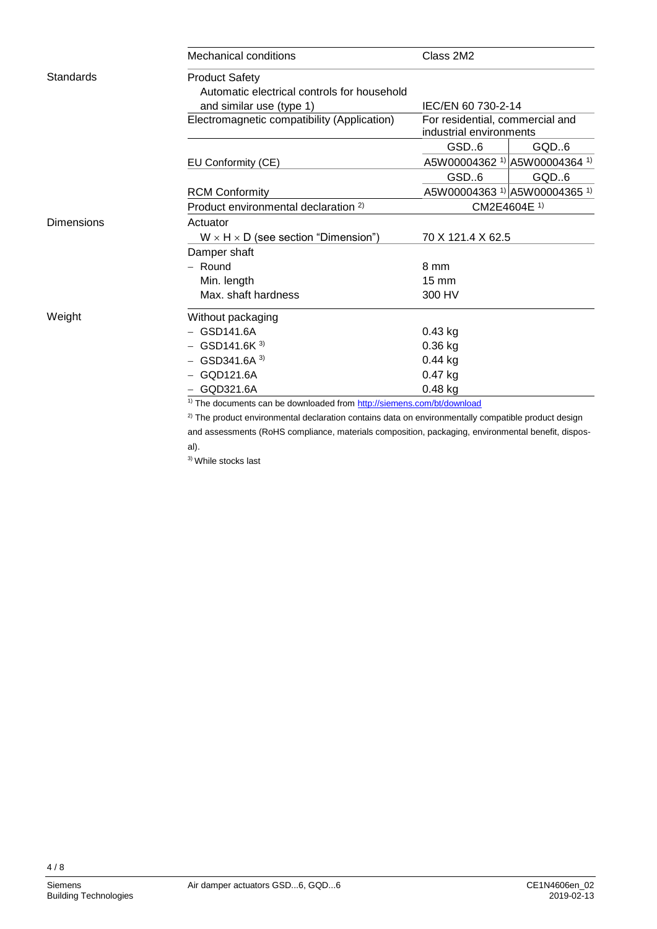|                   | <b>Mechanical conditions</b>                                                                                   | Class 2M2                                                  |                                                     |  |  |  |  |
|-------------------|----------------------------------------------------------------------------------------------------------------|------------------------------------------------------------|-----------------------------------------------------|--|--|--|--|
| Standards         | <b>Product Safety</b>                                                                                          |                                                            |                                                     |  |  |  |  |
|                   | Automatic electrical controls for household                                                                    |                                                            |                                                     |  |  |  |  |
|                   | and similar use (type 1)                                                                                       | IEC/EN 60 730-2-14                                         |                                                     |  |  |  |  |
|                   | Electromagnetic compatibility (Application)                                                                    | For residential, commercial and<br>industrial environments |                                                     |  |  |  |  |
|                   |                                                                                                                | GSD.6                                                      | GQD.6                                               |  |  |  |  |
|                   | EU Conformity (CE)                                                                                             |                                                            | A5W00004362 <sup>1)</sup> A5W00004364 <sup>1)</sup> |  |  |  |  |
|                   |                                                                                                                | GSD.6                                                      | GQD.6                                               |  |  |  |  |
|                   | <b>RCM Conformity</b>                                                                                          |                                                            | A5W00004363 <sup>1)</sup> A5W00004365 <sup>1)</sup> |  |  |  |  |
|                   | Product environmental declaration <sup>2)</sup>                                                                |                                                            | CM2E4604E <sup>1)</sup>                             |  |  |  |  |
| <b>Dimensions</b> | Actuator                                                                                                       |                                                            |                                                     |  |  |  |  |
|                   | $W \times H \times D$ (see section "Dimension")                                                                |                                                            | 70 X 121.4 X 62.5                                   |  |  |  |  |
|                   | Damper shaft                                                                                                   |                                                            |                                                     |  |  |  |  |
|                   | $-$ Round                                                                                                      | 8 mm                                                       |                                                     |  |  |  |  |
|                   | Min. length                                                                                                    | $15 \text{ mm}$                                            |                                                     |  |  |  |  |
|                   | Max. shaft hardness                                                                                            | 300 HV                                                     |                                                     |  |  |  |  |
| Weight            | Without packaging                                                                                              |                                                            |                                                     |  |  |  |  |
|                   | GSD141.6A                                                                                                      | $0.43$ kg                                                  |                                                     |  |  |  |  |
|                   | $-$ GSD141.6K $3)$                                                                                             | $0.36$ kg                                                  |                                                     |  |  |  |  |
|                   | $-$ GSD341.6A $^{3)}$                                                                                          | $0.44$ kg                                                  |                                                     |  |  |  |  |
|                   | $-$ GQD121.6A                                                                                                  | 0.47 kg                                                    |                                                     |  |  |  |  |
|                   | $0.48$ kg<br>- GOD321.6A                                                                                       |                                                            |                                                     |  |  |  |  |
|                   | <sup>1)</sup> The documents can be downloaded from http://siemens.com/bt/download                              |                                                            |                                                     |  |  |  |  |
|                   | <sup>2)</sup> The product environmental declaration contains data on environmentally compatible product design |                                                            |                                                     |  |  |  |  |

and assessments (RoHS compliance, materials composition, packaging, environmental benefit, disposal).

3) While stocks last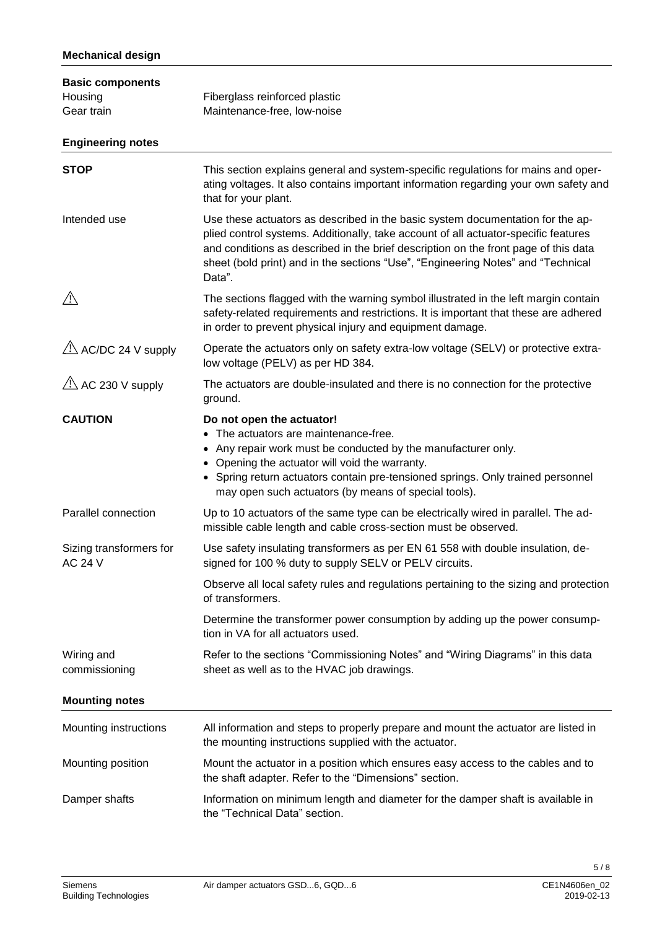| <b>Basic components</b><br>Housing<br>Gear train | Fiberglass reinforced plastic<br>Maintenance-free, low-noise                                                                                                                                                                                                                                                                                               |
|--------------------------------------------------|------------------------------------------------------------------------------------------------------------------------------------------------------------------------------------------------------------------------------------------------------------------------------------------------------------------------------------------------------------|
| <b>Engineering notes</b>                         |                                                                                                                                                                                                                                                                                                                                                            |
| <b>STOP</b>                                      | This section explains general and system-specific regulations for mains and oper-<br>ating voltages. It also contains important information regarding your own safety and<br>that for your plant.                                                                                                                                                          |
| Intended use                                     | Use these actuators as described in the basic system documentation for the ap-<br>plied control systems. Additionally, take account of all actuator-specific features<br>and conditions as described in the brief description on the front page of this data<br>sheet (bold print) and in the sections "Use", "Engineering Notes" and "Technical<br>Data". |
| <u>/!\</u>                                       | The sections flagged with the warning symbol illustrated in the left margin contain<br>safety-related requirements and restrictions. It is important that these are adhered<br>in order to prevent physical injury and equipment damage.                                                                                                                   |
| $\sqrt{2}$ AC/DC 24 V supply                     | Operate the actuators only on safety extra-low voltage (SELV) or protective extra-<br>low voltage (PELV) as per HD 384.                                                                                                                                                                                                                                    |
| $\overline{\triangle}$ AC 230 V supply           | The actuators are double-insulated and there is no connection for the protective<br>ground.                                                                                                                                                                                                                                                                |
| <b>CAUTION</b>                                   | Do not open the actuator!<br>• The actuators are maintenance-free.<br>• Any repair work must be conducted by the manufacturer only.<br>• Opening the actuator will void the warranty.<br>• Spring return actuators contain pre-tensioned springs. Only trained personnel<br>may open such actuators (by means of special tools).                           |
| Parallel connection                              | Up to 10 actuators of the same type can be electrically wired in parallel. The ad-<br>missible cable length and cable cross-section must be observed.                                                                                                                                                                                                      |
| Sizing transformers for<br>AC 24 V               | Use safety insulating transformers as per EN 61 558 with double insulation, de-<br>signed for 100 % duty to supply SELV or PELV circuits.                                                                                                                                                                                                                  |
|                                                  | Observe all local safety rules and regulations pertaining to the sizing and protection<br>of transformers.                                                                                                                                                                                                                                                 |
|                                                  | Determine the transformer power consumption by adding up the power consump-<br>tion in VA for all actuators used.                                                                                                                                                                                                                                          |
| Wiring and<br>commissioning                      | Refer to the sections "Commissioning Notes" and "Wiring Diagrams" in this data<br>sheet as well as to the HVAC job drawings.                                                                                                                                                                                                                               |
| <b>Mounting notes</b>                            |                                                                                                                                                                                                                                                                                                                                                            |
| Mounting instructions                            | All information and steps to properly prepare and mount the actuator are listed in<br>the mounting instructions supplied with the actuator.                                                                                                                                                                                                                |
| Mounting position                                | Mount the actuator in a position which ensures easy access to the cables and to<br>the shaft adapter. Refer to the "Dimensions" section.                                                                                                                                                                                                                   |
| Damper shafts                                    | Information on minimum length and diameter for the damper shaft is available in<br>the "Technical Data" section.                                                                                                                                                                                                                                           |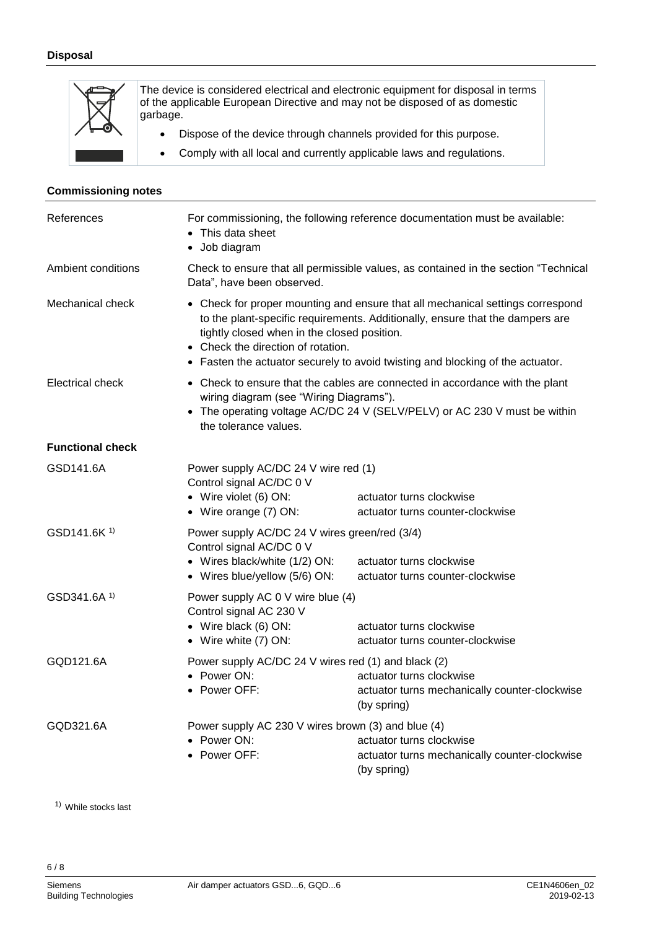

The device is considered electrical and electronic equipment for disposal in terms of the applicable European Directive and may not be disposed of as domestic garbage.

- Dispose of the device through channels provided for this purpose.
- Comply with all local and currently applicable laws and regulations.

#### **Commissioning notes**

| References              | For commissioning, the following reference documentation must be available:<br>• This data sheet<br>· Job diagram                                                                                                                                                                                                                      |                                                              |  |
|-------------------------|----------------------------------------------------------------------------------------------------------------------------------------------------------------------------------------------------------------------------------------------------------------------------------------------------------------------------------------|--------------------------------------------------------------|--|
| Ambient conditions      | Check to ensure that all permissible values, as contained in the section "Technical<br>Data", have been observed.                                                                                                                                                                                                                      |                                                              |  |
| Mechanical check        | • Check for proper mounting and ensure that all mechanical settings correspond<br>to the plant-specific requirements. Additionally, ensure that the dampers are<br>tightly closed when in the closed position.<br>• Check the direction of rotation.<br>• Fasten the actuator securely to avoid twisting and blocking of the actuator. |                                                              |  |
| Electrical check        | • Check to ensure that the cables are connected in accordance with the plant<br>wiring diagram (see "Wiring Diagrams").<br>• The operating voltage AC/DC 24 V (SELV/PELV) or AC 230 V must be within<br>the tolerance values.                                                                                                          |                                                              |  |
| <b>Functional check</b> |                                                                                                                                                                                                                                                                                                                                        |                                                              |  |
| GSD141.6A               | Power supply AC/DC 24 V wire red (1)<br>Control signal AC/DC 0 V<br>• Wire violet (6) ON:<br>• Wire orange (7) ON:                                                                                                                                                                                                                     | actuator turns clockwise<br>actuator turns counter-clockwise |  |
| GSD141.6K <sup>1)</sup> | Power supply AC/DC 24 V wires green/red (3/4)<br>Control signal AC/DC 0 V<br>• Wires black/white (1/2) ON:<br>• Wires blue/yellow (5/6) ON:                                                                                                                                                                                            | actuator turns clockwise<br>actuator turns counter-clockwise |  |
| GSD341.6A 1)            | Power supply AC 0 V wire blue (4)<br>Control signal AC 230 V<br>• Wire black (6) ON:<br>• Wire white (7) ON:                                                                                                                                                                                                                           | actuator turns clockwise<br>actuator turns counter-clockwise |  |
| GQD121.6A               | Power supply AC/DC 24 V wires red (1) and black (2)<br>• Power $ON:$<br>actuator turns clockwise<br>• Power OFF:<br>actuator turns mechanically counter-clockwise<br>(by spring)                                                                                                                                                       |                                                              |  |
| GQD321.6A               | Power supply AC 230 V wires brown (3) and blue (4)<br>• Power ON:<br>actuator turns clockwise<br>• Power OFF:<br>actuator turns mechanically counter-clockwise<br>(by spring)                                                                                                                                                          |                                                              |  |

1) While stocks last

6 / 8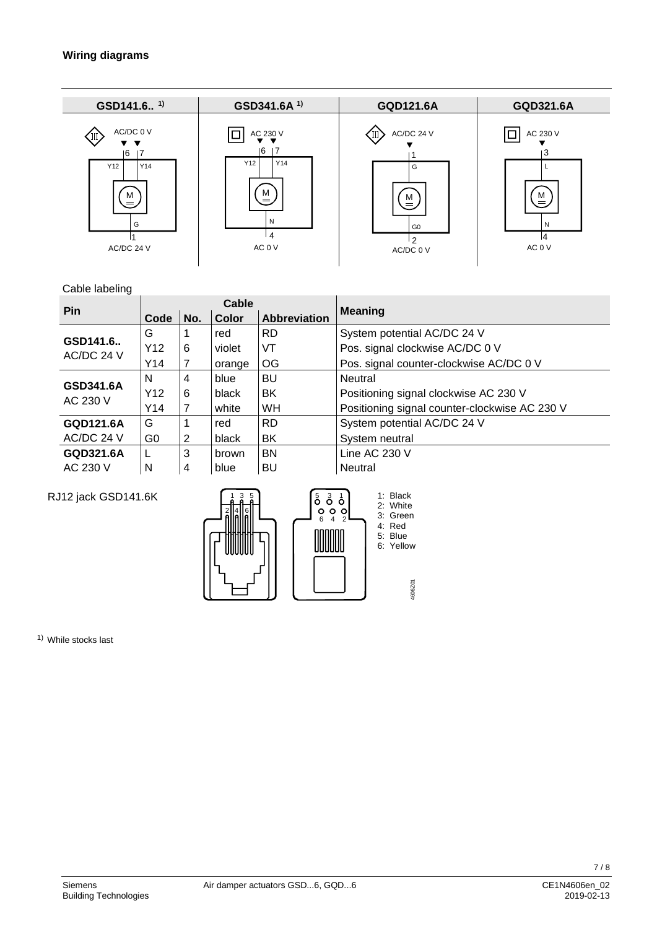#### **Wiring diagrams**

| GSD141.6 <sup>1)</sup>                                       | GSD341.6A <sup>1)</sup>                                          | <b>GQD121.6A</b>                                                       | GQD321.6A                               |
|--------------------------------------------------------------|------------------------------------------------------------------|------------------------------------------------------------------------|-----------------------------------------|
| AC/DC 0 V<br>(II)<br>6<br>Y12<br>Y14<br>M<br>G<br>AC/DC 24 V | AC 230 V<br>6<br>-17<br>Y14<br>Y12<br>м<br>=<br>N<br>4<br>AC 0 V | AC/DC 24 V<br>G<br>M<br>$=$<br>G <sub>0</sub><br>$\Omega$<br>AC/DC 0 V | AC 230 V<br>3<br>M<br>N<br>14<br>AC 0 V |

#### Cable labeling

| uwiu iuwuii iy          |                 |     |              |                     |                                               |  |
|-------------------------|-----------------|-----|--------------|---------------------|-----------------------------------------------|--|
| Pin                     | Cable           |     |              |                     | <b>Meaning</b>                                |  |
|                         | Code            | No. | Color        | <b>Abbreviation</b> |                                               |  |
|                         | G               |     | red          | <b>RD</b>           | System potential AC/DC 24 V                   |  |
| GSD141.6.<br>AC/DC 24 V | Y <sub>12</sub> | 6   | violet       | VT                  | Pos. signal clockwise AC/DC 0 V               |  |
|                         | Y14             |     | orange       | OG                  | Pos. signal counter-clockwise AC/DC 0 V       |  |
| GSD341.6A<br>AC 230 V   | N               | 4   | blue         | <b>BU</b>           | Neutral                                       |  |
|                         | Y <sub>12</sub> | 6   | black        | BK                  | Positioning signal clockwise AC 230 V         |  |
|                         | Y14             |     | white        | WH                  | Positioning signal counter-clockwise AC 230 V |  |
| GQD121.6A               | G               |     | red          | <b>RD</b>           | System potential AC/DC 24 V                   |  |
| AC/DC 24 V              | G0              | 2   | black        | BK                  | System neutral                                |  |
| GQD321.6A               |                 | 3   | <b>brown</b> | <b>BN</b>           | Line AC 230 V                                 |  |
| AC 230 V                | N               | 4   | blue         | BU                  | Neutral                                       |  |

### RJ12 jack GSD141.6K



1) While stocks last